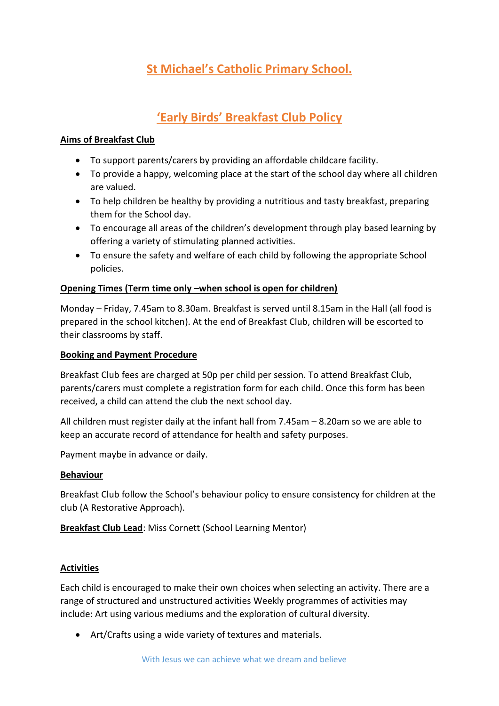# **St Michael's Catholic Primary School.**

## **'Early Birds' Breakfast Club Policy**

#### **Aims of Breakfast Club**

- To support parents/carers by providing an affordable childcare facility.
- To provide a happy, welcoming place at the start of the school day where all children are valued.
- To help children be healthy by providing a nutritious and tasty breakfast, preparing them for the School day.
- To encourage all areas of the children's development through play based learning by offering a variety of stimulating planned activities.
- To ensure the safety and welfare of each child by following the appropriate School policies.

#### **Opening Times (Term time only –when school is open for children)**

Monday – Friday, 7.45am to 8.30am. Breakfast is served until 8.15am in the Hall (all food is prepared in the school kitchen). At the end of Breakfast Club, children will be escorted to their classrooms by staff.

#### **Booking and Payment Procedure**

Breakfast Club fees are charged at 50p per child per session. To attend Breakfast Club, parents/carers must complete a registration form for each child. Once this form has been received, a child can attend the club the next school day.

All children must register daily at the infant hall from 7.45am – 8.20am so we are able to keep an accurate record of attendance for health and safety purposes.

Payment maybe in advance or daily.

#### **Behaviour**

Breakfast Club follow the School's behaviour policy to ensure consistency for children at the club (A Restorative Approach).

**Breakfast Club Lead**: Miss Cornett (School Learning Mentor)

#### **Activities**

Each child is encouraged to make their own choices when selecting an activity. There are a range of structured and unstructured activities Weekly programmes of activities may include: Art using various mediums and the exploration of cultural diversity.

Art/Crafts using a wide variety of textures and materials.